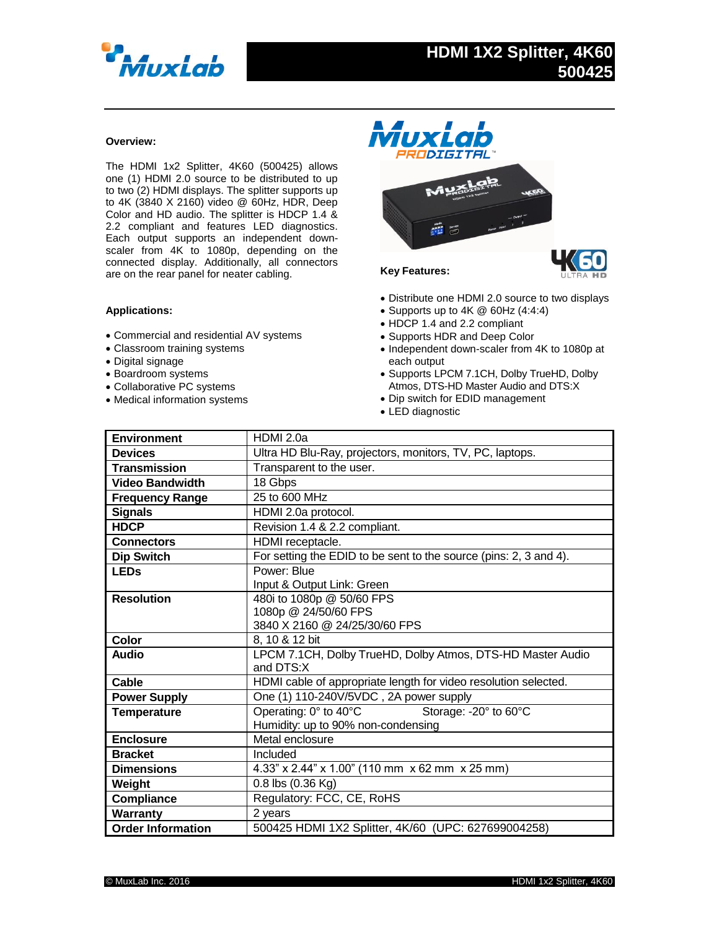

## **Overview:**

The HDMI 1x2 Splitter, 4K60 (500425) allows one (1) HDMI 2.0 source to be distributed to up to two (2) HDMI displays. The splitter supports up to 4K (3840 X 2160) video @ 60Hz, HDR, Deep Color and HD audio. The splitter is HDCP 1.4 & 2.2 compliant and features LED diagnostics. Each output supports an independent downscaler from 4K to 1080p, depending on the connected display. Additionally, all connectors are on the rear panel for neater cabling.

## **Applications:**

- Commercial and residential AV systems
- Classroom training systems
- Digital signage
- Boardroom systems
- Collaborative PC systems
- Medical information systems



## Distribute one HDMI 2.0 source to two displays

- Supports up to 4K @ 60Hz (4:4:4)
- HDCP 1.4 and 2.2 compliant
- Supports HDR and Deep Color
- Independent down-scaler from 4K to 1080p at each output
- Supports LPCM 7.1CH, Dolby TrueHD, Dolby Atmos, DTS-HD Master Audio and DTS:X
- Dip switch for EDID management
- LED diagnostic

| <b>Environment</b>       | HDMI 2.0a                                                         |
|--------------------------|-------------------------------------------------------------------|
| <b>Devices</b>           | Ultra HD Blu-Ray, projectors, monitors, TV, PC, laptops.          |
| <b>Transmission</b>      | Transparent to the user.                                          |
| <b>Video Bandwidth</b>   | 18 Gbps                                                           |
| <b>Frequency Range</b>   | 25 to 600 MHz                                                     |
| <b>Signals</b>           | HDMI 2.0a protocol.                                               |
| <b>HDCP</b>              | Revision 1.4 & 2.2 compliant.                                     |
| <b>Connectors</b>        | HDMI receptacle.                                                  |
| <b>Dip Switch</b>        | For setting the EDID to be sent to the source (pins: 2, 3 and 4). |
| <b>LEDs</b>              | Power: Blue                                                       |
|                          | Input & Output Link: Green                                        |
| <b>Resolution</b>        | 480i to 1080p @ 50/60 FPS                                         |
|                          | 1080p @ 24/50/60 FPS                                              |
|                          | 3840 X 2160 @ 24/25/30/60 FPS                                     |
| <b>Color</b>             | 8, 10 & 12 bit                                                    |
| <b>Audio</b>             | LPCM 7.1CH, Dolby TrueHD, Dolby Atmos, DTS-HD Master Audio        |
|                          | and DTS:X                                                         |
| Cable                    | HDMI cable of appropriate length for video resolution selected.   |
| <b>Power Supply</b>      | One (1) 110-240V/5VDC, 2A power supply                            |
| <b>Temperature</b>       | Operating: 0° to 40°C<br>Storage: - 20° to 60°C                   |
|                          | Humidity: up to 90% non-condensing                                |
| <b>Enclosure</b>         | Metal enclosure                                                   |
| <b>Bracket</b>           | Included                                                          |
| <b>Dimensions</b>        | 4.33" x 2.44" x 1.00" (110 mm x 62 mm x 25 mm)                    |
| Weight                   | $0.8$ lbs $(0.36$ Kg)                                             |
| Compliance               | Regulatory: FCC, CE, RoHS                                         |
| Warranty                 | 2 years                                                           |
| <b>Order Information</b> | 500425 HDMI 1X2 Splitter, 4K/60 (UPC: 627699004258)               |